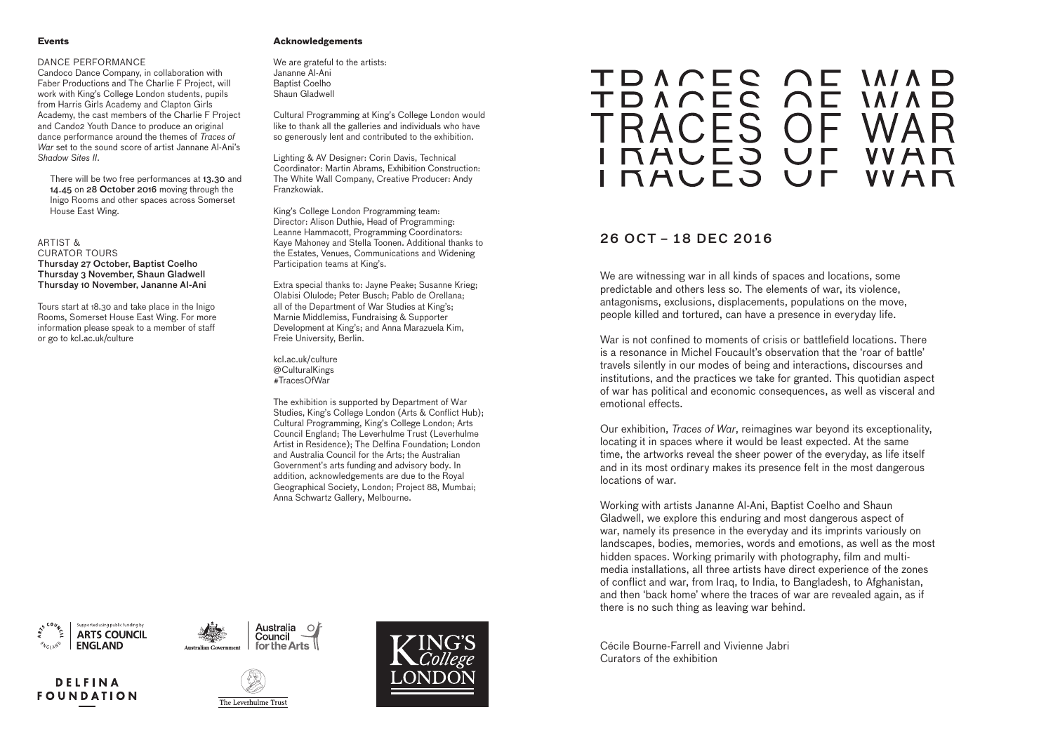# **Acknowledgements**

We are grateful to the artists: Jananne Al-Ani Baptist Coelho Shaun Gladwell

Cultural Programming at King's College London would like to thank all the galleries and individuals who have so generously lent and contributed to the exhibition.

Lighting & AV Designer: Corin Davis, Technical Coordinator: Martin Abrams, Exhibition Construction: The White Wall Company, Creative Producer: Andy Franzkowiak.

King's College London Programming team: Director: Alison Duthie, Head of Programming: Leanne Hammacott, Programming Coordinators: Kaye Mahoney and Stella Toonen. Additional thanks to the Estates, Venues, Communications and Widening Participation teams at King's.

Extra special thanks to: Jayne Peake; Susanne Krieg; Olabisi Olulode; Peter Busch; Pablo de Orellana; all of the Department of War Studies at King's; Marnie Middlemiss, Fundraising & Supporter Development at King's; and Anna Marazuela Kim, Freie University, Berlin.

kcl.ac.uk/culture @CulturalKings #TracesOfWar

There will be two free performances at 13.30 and 14.45 on 28 October 2016 moving through the Inigo Rooms and other spaces across Somerset House East Wing.

> The exhibition is supported by Department of War Studies, King's College London (Arts & Conflict Hub); Cultural Programming, King's College London; Arts Council England; The Leverhulme Trust (Leverhulme Artist in Residence); The Delfina Foundation; London and Australia Council for the Arts; the Australian Government's arts funding and advisory body. In addition, acknowledgements are due to the Royal Geographical Society, London; Project 88, Mumbai; Anna Schwartz Gallery, Melbourne.

TDACEC AE MIAD TDACEC OF MIAD **TRACES OF NAULO UF INAULO** 

#### **Events**

## DANCE PERFORMANCE

Candoco Dance Company, in collaboration with Faber Productions and The Charlie F Project, will work with King's College London students, pupils from Harris Girls Academy and Clapton Girls Academy, the cast members of the Charlie F Project and Cando2 Youth Dance to produce an original dance performance around the themes of *Traces of War* set to the sound score of artist Jannane Al-Ani's *Shadow Sites II*.

ARTIST & CURATOR TOURS Thursday 27 October, Baptist Coelho Thursday 3 November, Shaun Gladwell Thursday 10 November, Jananne Al-Ani

Tours start at 18.30 and take place in the Inigo Rooms, Somerset House East Wing. For more information please speak to a member of staff or go to kcl.ac.uk/culture

We are witnessing war in all kinds of spaces and locations, some predictable and others less so. The elements of war, its violence, antagonisms, exclusions, displacements, populations on the move, people killed and tortured, can have a presence in everyday life.

War is not confined to moments of crisis or battlefield locations. There is a resonance in Michel Foucault's observation that the 'roar of battle' travels silently in our modes of being and interactions, discourses and institutions, and the practices we take for granted. This quotidian aspect of war has political and economic consequences, as well as visceral and emotional effects.

Our exhibition, *Traces of War*, reimagines war beyond its exceptionality, locating it in spaces where it would be least expected. At the same time, the artworks reveal the sheer power of the everyday, as life itself and in its most ordinary makes its presence felt in the most dangerous locations of war.

Working with artists Jananne Al-Ani, Baptist Coelho and Shaun Gladwell, we explore this enduring and most dangerous aspect of war, namely its presence in the everyday and its imprints variously on landscapes, bodies, memories, words and emotions, as well as the most hidden spaces. Working primarily with photography, film and multimedia installations, all three artists have direct experience of the zones of conflict and war, from Iraq, to India, to Bangladesh, to Afghanistan, and then 'back home' where the traces of war are revealed again, as if there is no such thing as leaving war behind.

Cécile Bourne-Farrell and Vivienne Jabri Curators of the exhibition









Australia

Council



# VVAN UL VVAN

# 26 OCT – 18 DEC 2016